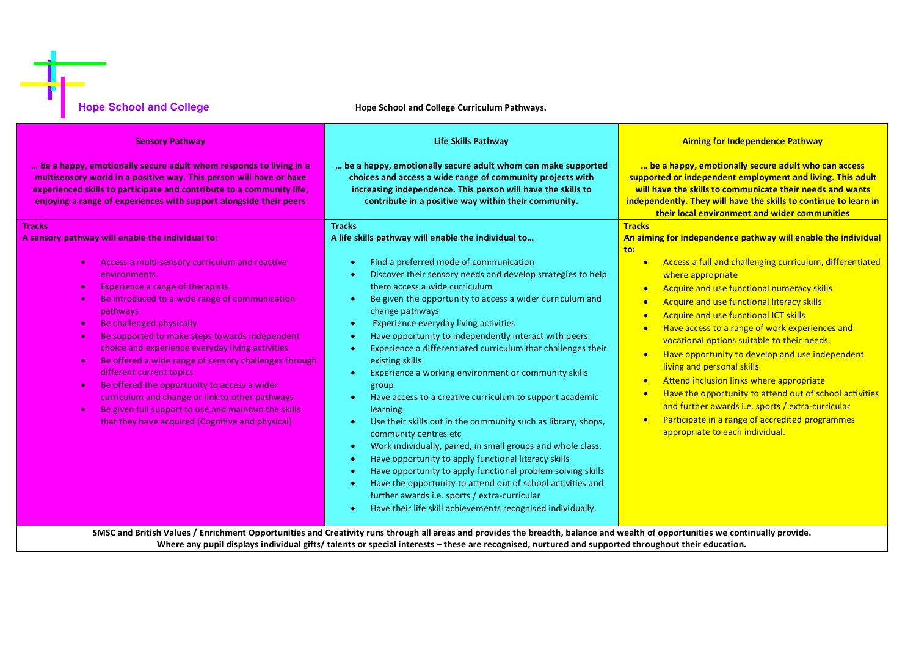| <b>Hope School and College</b> |  |  |  |  |
|--------------------------------|--|--|--|--|
|--------------------------------|--|--|--|--|

## **Hope School and College** *Hope School and College**Hope School and College Curriculum Pathways.*

| <b>Sensory Pathway</b><br>be a happy, emotionally secure adult whom responds to living in a<br>multisensory world in a positive way. This person will have or have<br>experienced skills to participate and contribute to a community life,<br>enjoying a range of experiences with support alongside their peers                                                                                                                                                                                                                                                                                                                                                                                             | Life Skills Pathway<br>be a happy, emotionally secure adult whom can make supported<br>choices and access a wide range of community projects with<br>increasing independence. This person will have the skills to<br>contribute in a positive way within their community.                                                                                                                                                                                                                                                                                                                                                                                                                                                                                                                                                                                                                                                                                                                                                                                                                                                                                                                                                                                                                                 | <b>Aiming for Independence Pathway</b><br>be a happy, emotionally secure adult who can access<br>supported or independent employment and living. This adult<br>will have the skills to communicate their needs and wants<br>independently. They will have the skills to continue to learn in<br>their local environment and wider communities                                                                                                                                                                                                                                                                                                                                                                                                                                          |
|---------------------------------------------------------------------------------------------------------------------------------------------------------------------------------------------------------------------------------------------------------------------------------------------------------------------------------------------------------------------------------------------------------------------------------------------------------------------------------------------------------------------------------------------------------------------------------------------------------------------------------------------------------------------------------------------------------------|-----------------------------------------------------------------------------------------------------------------------------------------------------------------------------------------------------------------------------------------------------------------------------------------------------------------------------------------------------------------------------------------------------------------------------------------------------------------------------------------------------------------------------------------------------------------------------------------------------------------------------------------------------------------------------------------------------------------------------------------------------------------------------------------------------------------------------------------------------------------------------------------------------------------------------------------------------------------------------------------------------------------------------------------------------------------------------------------------------------------------------------------------------------------------------------------------------------------------------------------------------------------------------------------------------------|----------------------------------------------------------------------------------------------------------------------------------------------------------------------------------------------------------------------------------------------------------------------------------------------------------------------------------------------------------------------------------------------------------------------------------------------------------------------------------------------------------------------------------------------------------------------------------------------------------------------------------------------------------------------------------------------------------------------------------------------------------------------------------------|
| Tracks<br>A sensory pathway will enable the individual to:<br>Access a multi-sensory curriculum and reactive<br>environments.<br><b>Experience a range of therapists</b><br>Be introduced to a wide range of communication<br><b>pathways</b><br>Be challenged physically<br>$\bullet$<br>Be supported to make steps towards independent<br>$\bullet$<br>choice and experience everyday living activities<br>Be offered a wide range of sensory challenges through<br>different current topics<br>Be offered the opportunity to access a wider<br>curriculum and change or link to other pathways<br>Be given full support to use and maintain the skills<br>that they have acquired (Cognitive and physical) | <b>Tracks</b><br>A life skills pathway will enable the individual to<br>Find a preferred mode of communication<br>Discover their sensory needs and develop strategies to help<br>them access a wide curriculum<br>Be given the opportunity to access a wider curriculum and<br>$\bullet$<br>change pathways<br>Experience everyday living activities<br>٠<br>Have opportunity to independently interact with peers<br>Experience a differentiated curriculum that challenges their<br>existing skills<br>Experience a working environment or community skills<br>٠<br>group<br>Have access to a creative curriculum to support academic<br>learning<br>Use their skills out in the community such as library, shops,<br>community centres etc<br>Work individually, paired, in small groups and whole class.<br>٠<br>Have opportunity to apply functional literacy skills<br>Have opportunity to apply functional problem solving skills<br>Have the opportunity to attend out of school activities and<br>further awards i.e. sports / extra-curricular<br>Have their life skill achievements recognised individually.<br>SMSC and British Values / Enrichment Opportunities and Creativity runs through all areas and provides the breadth, balance and wealth of opportunities we continually provide. | <b>Tracks</b><br>An aiming for independence pathway will enable the individual<br>to:<br>Access a full and challenging curriculum, differentiated<br>$\bullet$<br>where appropriate<br>Acquire and use functional numeracy skills<br>Acquire and use functional literacy skills<br>Acquire and use functional ICT skills<br>Have access to a range of work experiences and<br>vocational options suitable to their needs.<br>Have opportunity to develop and use independent<br>$\bullet$<br>living and personal skills<br>Attend inclusion links where appropriate<br>Have the opportunity to attend out of school activities<br>and further awards i.e. sports / extra-curricular<br>Participate in a range of accredited programmes<br>$\bullet$<br>appropriate to each individual. |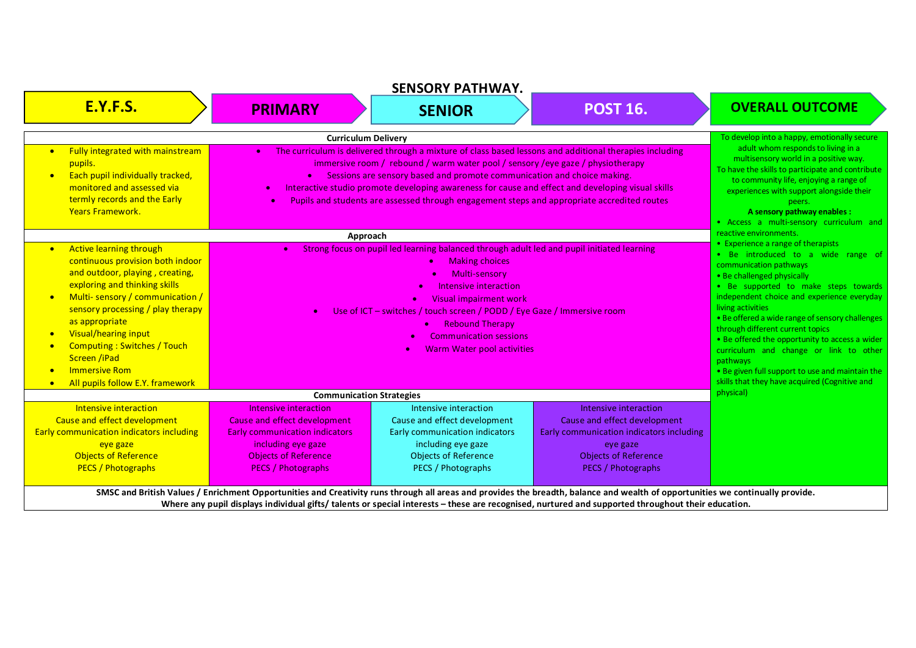| <b>SENSORY PATHWAY.</b>                                                                                                                                                                                                                                                                                                                                                                                                                                          |                                                                                                                                                                                                                                                                                                                                                                                                                                                                                                                 |                                                                                                                                                                    |                                                                                                                                                                                                                                                                                                                                      |                                                                                                                                                                                                                                                                                                                                                                                                                                                                                                                                                |  |
|------------------------------------------------------------------------------------------------------------------------------------------------------------------------------------------------------------------------------------------------------------------------------------------------------------------------------------------------------------------------------------------------------------------------------------------------------------------|-----------------------------------------------------------------------------------------------------------------------------------------------------------------------------------------------------------------------------------------------------------------------------------------------------------------------------------------------------------------------------------------------------------------------------------------------------------------------------------------------------------------|--------------------------------------------------------------------------------------------------------------------------------------------------------------------|--------------------------------------------------------------------------------------------------------------------------------------------------------------------------------------------------------------------------------------------------------------------------------------------------------------------------------------|------------------------------------------------------------------------------------------------------------------------------------------------------------------------------------------------------------------------------------------------------------------------------------------------------------------------------------------------------------------------------------------------------------------------------------------------------------------------------------------------------------------------------------------------|--|
| <b>E.Y.F.S.</b>                                                                                                                                                                                                                                                                                                                                                                                                                                                  | <b>PRIMARY</b>                                                                                                                                                                                                                                                                                                                                                                                                                                                                                                  | <b>SENIOR</b>                                                                                                                                                      | <b>POST 16.</b>                                                                                                                                                                                                                                                                                                                      | <b>OVERALL OUTCOME</b>                                                                                                                                                                                                                                                                                                                                                                                                                                                                                                                         |  |
|                                                                                                                                                                                                                                                                                                                                                                                                                                                                  | <b>Curriculum Delivery</b>                                                                                                                                                                                                                                                                                                                                                                                                                                                                                      |                                                                                                                                                                    |                                                                                                                                                                                                                                                                                                                                      | To develop into a happy, emotionally secure                                                                                                                                                                                                                                                                                                                                                                                                                                                                                                    |  |
| Fully integrated with mainstream<br>$\bullet$<br>pupils.<br>Each pupil individually tracked,<br>$\bullet$<br>monitored and assessed via<br>termly records and the Early<br><b>Years Framework.</b>                                                                                                                                                                                                                                                               | The curriculum is delivered through a mixture of class based lessons and additional therapies including<br>immersive room / rebound / warm water pool / sensory /eye gaze / physiotherapy<br>Sessions are sensory based and promote communication and choice making.<br>$\bullet$<br>Interactive studio promote developing awareness for cause and effect and developing visual skills<br>$\bullet$<br>Pupils and students are assessed through engagement steps and appropriate accredited routes<br>$\bullet$ |                                                                                                                                                                    |                                                                                                                                                                                                                                                                                                                                      | adult whom responds to living in a<br>multisensory world in a positive way.<br>To have the skills to participate and contribute<br>to community life, enjoying a range of<br>experiences with support alongside their<br>peers.<br>A sensory pathway enables :<br>• Access a multi-sensory curriculum and                                                                                                                                                                                                                                      |  |
|                                                                                                                                                                                                                                                                                                                                                                                                                                                                  | Approach                                                                                                                                                                                                                                                                                                                                                                                                                                                                                                        |                                                                                                                                                                    |                                                                                                                                                                                                                                                                                                                                      |                                                                                                                                                                                                                                                                                                                                                                                                                                                                                                                                                |  |
| <b>Active learning through</b><br>$\bullet$<br>continuous provision both indoor<br>and outdoor, playing, creating,<br>exploring and thinking skills<br>Multi- sensory / communication /<br>$\bullet$<br>sensory processing / play therapy<br>as appropriate<br>Visual/hearing input<br>$\bullet$<br><b>Computing: Switches / Touch</b><br>$\bullet$<br><b>Screen /iPad</b><br><b>Immersive Rom</b><br>$\bullet$<br>All pupils follow E.Y. framework<br>$\bullet$ | Strong focus on pupil led learning balanced through adult led and pupil initiated learning<br><b>Making choices</b><br>Multi-sensory<br>Intensive interaction<br>Visual impairment work<br>$\bullet$<br>Use of ICT - switches / touch screen / PODD / Eye Gaze / Immersive room<br><b>Rebound Therapy</b><br><b>Communication sessions</b><br><b>Warm Water pool activities</b>                                                                                                                                 |                                                                                                                                                                    |                                                                                                                                                                                                                                                                                                                                      | • Experience a range of therapists<br>• Be introduced to a wide range of<br>communication pathways<br>• Be challenged physically<br>• Be supported to make steps towards<br>independent choice and experience everyday<br>living activities<br>• Be offered a wide range of sensory challenges<br>through different current topics<br>• Be offered the opportunity to access a wider<br>curriculum and change or link to other<br>pathways<br>• Be given full support to use and maintain the<br>skills that they have acquired (Cognitive and |  |
|                                                                                                                                                                                                                                                                                                                                                                                                                                                                  | <b>Communication Strategies</b>                                                                                                                                                                                                                                                                                                                                                                                                                                                                                 |                                                                                                                                                                    |                                                                                                                                                                                                                                                                                                                                      | physical)                                                                                                                                                                                                                                                                                                                                                                                                                                                                                                                                      |  |
| Intensive interaction<br>Cause and effect development<br><b>Early communication indicators including</b><br>eye gaze<br><b>Objects of Reference</b><br><b>PECS / Photographs</b>                                                                                                                                                                                                                                                                                 | Intensive interaction<br>Cause and effect development<br><b>Early communication indicators</b><br>including eye gaze<br><b>Objects of Reference</b><br><b>PECS</b> / Photographs                                                                                                                                                                                                                                                                                                                                | Intensive interaction<br>Cause and effect development<br>Early communication indicators<br>including eye gaze<br><b>Objects of Reference</b><br>PECS / Photographs | Intensive interaction<br>Cause and effect development<br>Early communication indicators including<br>eye gaze<br><b>Objects of Reference</b><br>PECS / Photographs                                                                                                                                                                   |                                                                                                                                                                                                                                                                                                                                                                                                                                                                                                                                                |  |
|                                                                                                                                                                                                                                                                                                                                                                                                                                                                  |                                                                                                                                                                                                                                                                                                                                                                                                                                                                                                                 |                                                                                                                                                                    | SMSC and British Values / Enrichment Opportunities and Creativity runs through all areas and provides the breadth, balance and wealth of opportunities we continually provide.<br>Where any pupil displays individual gifts/ talents or special interests – these are recognised, nurtured and supported throughout their education. |                                                                                                                                                                                                                                                                                                                                                                                                                                                                                                                                                |  |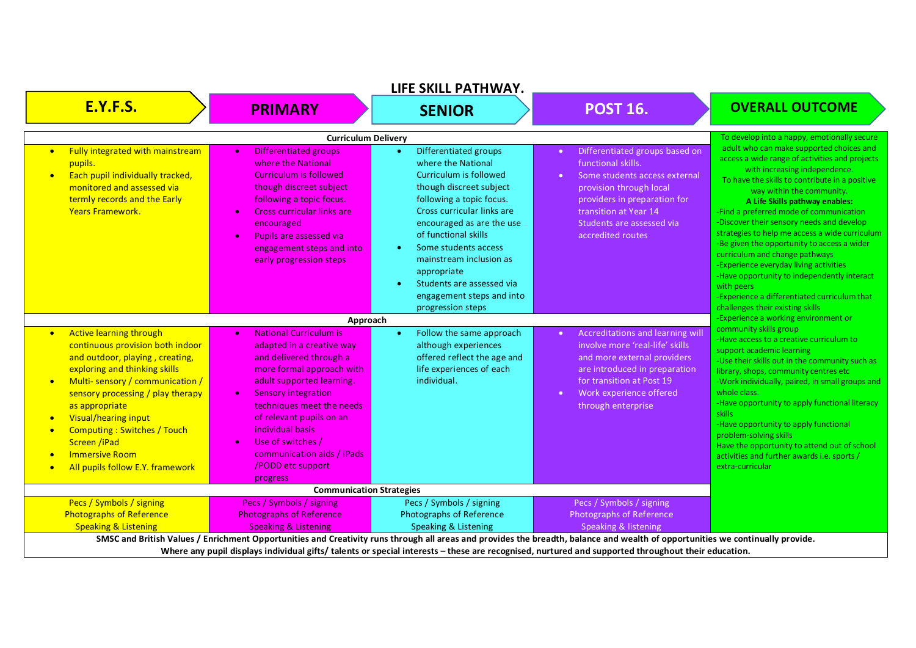| LIFE SKILL PATHWAY.                                                                                                                                                                                                                                                                                                                                                                                        |                                                                                                                                                                                                                                                                                                                                         |                                                                                                                                                                                         |                                                                                                                                                                                                                                  |                                                                                                                                                                                                                                                                                                                                                                                                                                                                                       |  |
|------------------------------------------------------------------------------------------------------------------------------------------------------------------------------------------------------------------------------------------------------------------------------------------------------------------------------------------------------------------------------------------------------------|-----------------------------------------------------------------------------------------------------------------------------------------------------------------------------------------------------------------------------------------------------------------------------------------------------------------------------------------|-----------------------------------------------------------------------------------------------------------------------------------------------------------------------------------------|----------------------------------------------------------------------------------------------------------------------------------------------------------------------------------------------------------------------------------|---------------------------------------------------------------------------------------------------------------------------------------------------------------------------------------------------------------------------------------------------------------------------------------------------------------------------------------------------------------------------------------------------------------------------------------------------------------------------------------|--|
| <b>E.Y.F.S.</b>                                                                                                                                                                                                                                                                                                                                                                                            | <b>PRIMARY</b>                                                                                                                                                                                                                                                                                                                          | <b>SENIOR</b>                                                                                                                                                                           | <b>POST 16.</b>                                                                                                                                                                                                                  | <b>OVERALL OUTCOME</b>                                                                                                                                                                                                                                                                                                                                                                                                                                                                |  |
| Fully integrated with mainstream<br>$\bullet$<br>pupils.<br>Each pupil individually tracked,<br>$\bullet$<br>monitored and assessed via<br>termly records and the Early<br><b>Years Framework.</b>                                                                                                                                                                                                         | <b>Curriculum Delivery</b><br><b>Differentiated groups</b><br>$\bullet$<br>where the National<br>Curriculum is followed<br>though discreet subject<br>following a topic focus.<br><b>Cross curricular links are</b><br>$\bullet$<br>encouraged                                                                                          | Differentiated groups<br>where the National<br>Curriculum is followed<br>though discreet subject<br>following a topic focus.<br>Cross curricular links are<br>encouraged as are the use | Differentiated groups based on<br>$\bullet$<br>functional skills.<br>Some students access external<br>$\bullet$<br>provision through local<br>providers in preparation for<br>transition at Year 14<br>Students are assessed via | To develop into a happy, emotionally secure<br>adult who can make supported choices and<br>access a wide range of activities and projects<br>with increasing independence.<br>To have the skills to contribute in a positive<br>way within the community.<br>A Life Skills pathway enables:<br>-Find a preferred mode of communication<br>-Discover their sensory needs and develop                                                                                                   |  |
|                                                                                                                                                                                                                                                                                                                                                                                                            | <b>Pupils are assessed via</b><br>$\bullet$<br>engagement steps and into<br>early progression steps<br>Approach                                                                                                                                                                                                                         | of functional skills<br>Some students access<br>mainstream inclusion as<br>appropriate<br>Students are assessed via<br>$\bullet$<br>engagement steps and into<br>progression steps      | accredited routes                                                                                                                                                                                                                | strategies to help me access a wide curriculum<br>-Be given the opportunity to access a wider<br>curriculum and change pathways<br>-Experience everyday living activities<br>-Have opportunity to independently interact<br>with peers<br>-Experience a differentiated curriculum that<br>challenges their existing skills<br>-Experience a working environment or                                                                                                                    |  |
| <b>Active learning through</b><br>$\bullet$                                                                                                                                                                                                                                                                                                                                                                | <b>National Curriculum is</b><br>$\bullet$                                                                                                                                                                                                                                                                                              | Follow the same approach<br>$\bullet$                                                                                                                                                   | Accreditations and learning will                                                                                                                                                                                                 | community skills group                                                                                                                                                                                                                                                                                                                                                                                                                                                                |  |
| continuous provision both indoor<br>and outdoor, playing, creating,<br>exploring and thinking skills<br>Multi-sensory / communication /<br>$\bullet$<br>sensory processing / play therapy<br>as appropriate<br>Visual/hearing input<br>$\bullet$<br><b>Computing: Switches / Touch</b><br>$\bullet$<br>Screen /iPad<br><b>Immersive Room</b><br>$\bullet$<br>All pupils follow E.Y. framework<br>$\bullet$ | adapted in a creative way<br>and delivered through a<br>more formal approach with<br>adult supported learning.<br><b>Sensory integration</b><br>$\bullet$<br>techniques meet the needs<br>of relevant pupils on an<br>individual basis<br>Use of switches /<br>$\bullet$<br>communication aids / iPads<br>/PODD etc support<br>progress | although experiences<br>offered reflect the age and<br>life experiences of each<br>individual.                                                                                          | involve more 'real-life' skills<br>and more external providers<br>are introduced in preparation<br>for transition at Post 19<br>Work experience offered<br>$\bullet$<br>through enterprise                                       | -Have access to a creative curriculum to<br>support academic learning<br>-Use their skills out in the community such as<br>library, shops, community centres etc<br>-Work individually, paired, in small groups and<br>whole class.<br>-Have opportunity to apply functional literacy<br>skills<br>-Have opportunity to apply functional<br>problem-solving skills<br>Have the opportunity to attend out of school<br>activities and further awards i.e. sports /<br>extra-curricular |  |
|                                                                                                                                                                                                                                                                                                                                                                                                            | <b>Communication Strategies</b>                                                                                                                                                                                                                                                                                                         |                                                                                                                                                                                         |                                                                                                                                                                                                                                  |                                                                                                                                                                                                                                                                                                                                                                                                                                                                                       |  |
| Pecs / Symbols / signing<br><b>Photographs of Reference</b><br><b>Speaking &amp; Listening</b>                                                                                                                                                                                                                                                                                                             | Pecs / Symbols / signing<br><b>Photographs of Reference</b><br><b>Speaking &amp; Listening</b>                                                                                                                                                                                                                                          | Pecs / Symbols / signing<br>Photographs of Reference<br>Speaking & Listening                                                                                                            | Pecs / Symbols / signing<br>Photographs of Reference<br>Speaking & listening                                                                                                                                                     |                                                                                                                                                                                                                                                                                                                                                                                                                                                                                       |  |
| SMSC and British Values / Enrichment Opportunities and Creativity runs through all areas and provides the breadth, balance and wealth of opportunities we continually provide.<br>Where any pupil displays individual gifts/ talents or special interests - these are recognised, nurtured and supported throughout their education.                                                                       |                                                                                                                                                                                                                                                                                                                                         |                                                                                                                                                                                         |                                                                                                                                                                                                                                  |                                                                                                                                                                                                                                                                                                                                                                                                                                                                                       |  |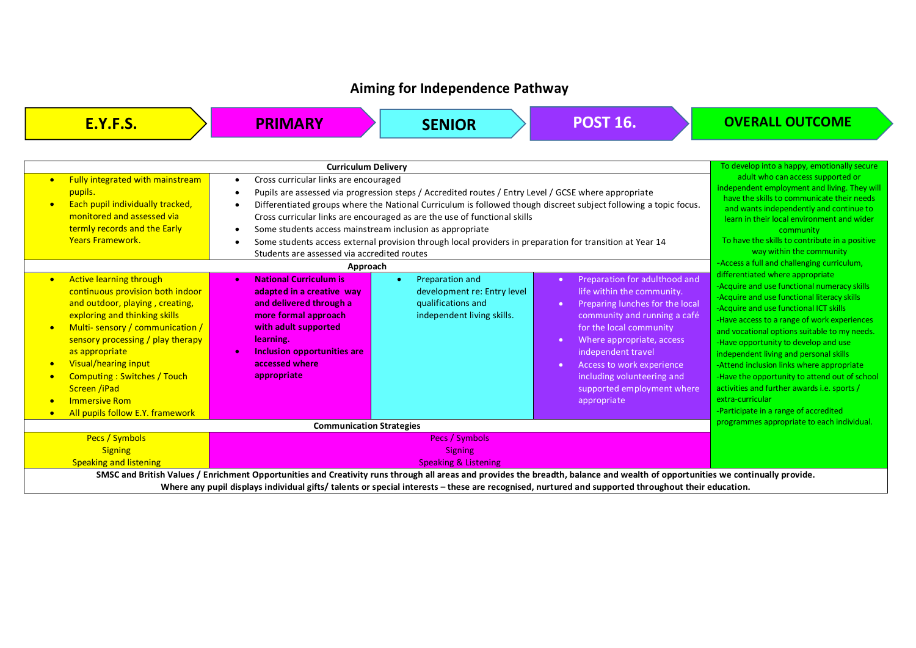## **Aiming for Independence Pathway**

| <b>E.Y.F.S.</b>                                                                                                                                                                                                                                                                                                                                                                                                                                           | <b>PRIMARY</b>                                                                                                                                                                                                                                                                                                                                                                                                                                                                                                                                                                                                   | <b>SENIOR</b>                                                                                                                                                                                                                                                                                                                                                      | <b>POST 16.</b>                                                                                                                                                                                                                                                                                                                                                          | <b>OVERALL OUTCOME</b>                                                                                                                                                                                                                                                                                                                                                                                                                                                                                                                                                                                            |
|-----------------------------------------------------------------------------------------------------------------------------------------------------------------------------------------------------------------------------------------------------------------------------------------------------------------------------------------------------------------------------------------------------------------------------------------------------------|------------------------------------------------------------------------------------------------------------------------------------------------------------------------------------------------------------------------------------------------------------------------------------------------------------------------------------------------------------------------------------------------------------------------------------------------------------------------------------------------------------------------------------------------------------------------------------------------------------------|--------------------------------------------------------------------------------------------------------------------------------------------------------------------------------------------------------------------------------------------------------------------------------------------------------------------------------------------------------------------|--------------------------------------------------------------------------------------------------------------------------------------------------------------------------------------------------------------------------------------------------------------------------------------------------------------------------------------------------------------------------|-------------------------------------------------------------------------------------------------------------------------------------------------------------------------------------------------------------------------------------------------------------------------------------------------------------------------------------------------------------------------------------------------------------------------------------------------------------------------------------------------------------------------------------------------------------------------------------------------------------------|
| Fully integrated with mainstream<br>$\bullet$<br>pupils.<br>Each pupil individually tracked,<br>$\bullet$<br>monitored and assessed via<br>termly records and the Early<br><b>Years Framework.</b>                                                                                                                                                                                                                                                        | <b>Curriculum Delivery</b><br>Cross curricular links are encouraged<br>$\bullet$<br>Pupils are assessed via progression steps / Accredited routes / Entry Level / GCSE where appropriate<br>Differentiated groups where the National Curriculum is followed though discreet subject following a topic focus.<br>Cross curricular links are encouraged as are the use of functional skills<br>Some students access mainstream inclusion as appropriate<br>Some students access external provision through local providers in preparation for transition at Year 14<br>Students are assessed via accredited routes | To develop into a happy, emotionally secure<br>adult who can access supported or<br>independent employment and living. They will<br>have the skills to communicate their needs<br>and wants independently and continue to<br>learn in their local environment and wider<br>community<br>To have the skills to contribute in a positive<br>way within the community |                                                                                                                                                                                                                                                                                                                                                                          |                                                                                                                                                                                                                                                                                                                                                                                                                                                                                                                                                                                                                   |
| <b>Active learning through</b><br>$\bullet$<br>continuous provision both indoor<br>and outdoor, playing, creating,<br>exploring and thinking skills<br>Multi-sensory / communication /<br>$\bullet$<br>sensory processing / play therapy<br>as appropriate<br><b>Visual/hearing input</b><br>$\bullet$<br><b>Computing: Switches / Touch</b><br><b>Screen /iPad</b><br><b>Immersive Rom</b><br>$\bullet$<br>All pupils follow E.Y. framework<br>$\bullet$ | Approach<br><b>National Curriculum is</b><br>adapted in a creative way<br>and delivered through a<br>more formal approach<br>with adult supported<br>learning.<br>Inclusion opportunities are<br>accessed where<br>appropriate                                                                                                                                                                                                                                                                                                                                                                                   | Preparation and<br>$\bullet$<br>development re: Entry level<br>qualifications and<br>independent living skills.                                                                                                                                                                                                                                                    | Preparation for adulthood and<br>$\bullet$<br>life within the community.<br>Preparing lunches for the local<br>$\bullet$<br>community and running a café<br>for the local community<br>Where appropriate, access<br>$\bullet$<br>independent travel<br>Access to work experience<br>$\bullet$<br>including volunteering and<br>supported employment where<br>appropriate | -Access a full and challenging curriculum,<br>differentiated where appropriate<br>-Acquire and use functional numeracy skills<br>-Acquire and use functional literacy skills<br>-Acquire and use functional ICT skills<br>-Have access to a range of work experiences<br>and vocational options suitable to my needs.<br>-Have opportunity to develop and use<br>independent living and personal skills<br>-Attend inclusion links where appropriate<br>-Have the opportunity to attend out of school<br>activities and further awards i.e. sports /<br>extra-curricular<br>-Participate in a range of accredited |
| <b>Communication Strategies</b>                                                                                                                                                                                                                                                                                                                                                                                                                           |                                                                                                                                                                                                                                                                                                                                                                                                                                                                                                                                                                                                                  |                                                                                                                                                                                                                                                                                                                                                                    |                                                                                                                                                                                                                                                                                                                                                                          | programmes appropriate to each individual.                                                                                                                                                                                                                                                                                                                                                                                                                                                                                                                                                                        |
| Pecs / Symbols<br><b>Signing</b><br><b>Speaking and listening</b>                                                                                                                                                                                                                                                                                                                                                                                         |                                                                                                                                                                                                                                                                                                                                                                                                                                                                                                                                                                                                                  | Pecs / Symbols<br><b>Signing</b><br><b>Speaking &amp; Listening</b>                                                                                                                                                                                                                                                                                                | SMSC and British Values / Enrichment Opportunities and Creativity runs through all areas and provides the breadth, balance and wealth of opportunities we continually provide.                                                                                                                                                                                           |                                                                                                                                                                                                                                                                                                                                                                                                                                                                                                                                                                                                                   |
|                                                                                                                                                                                                                                                                                                                                                                                                                                                           |                                                                                                                                                                                                                                                                                                                                                                                                                                                                                                                                                                                                                  |                                                                                                                                                                                                                                                                                                                                                                    | Where any pupil displays individual gifts/ talents or special interests - these are recognised, nurtured and supported throughout their education.                                                                                                                                                                                                                       |                                                                                                                                                                                                                                                                                                                                                                                                                                                                                                                                                                                                                   |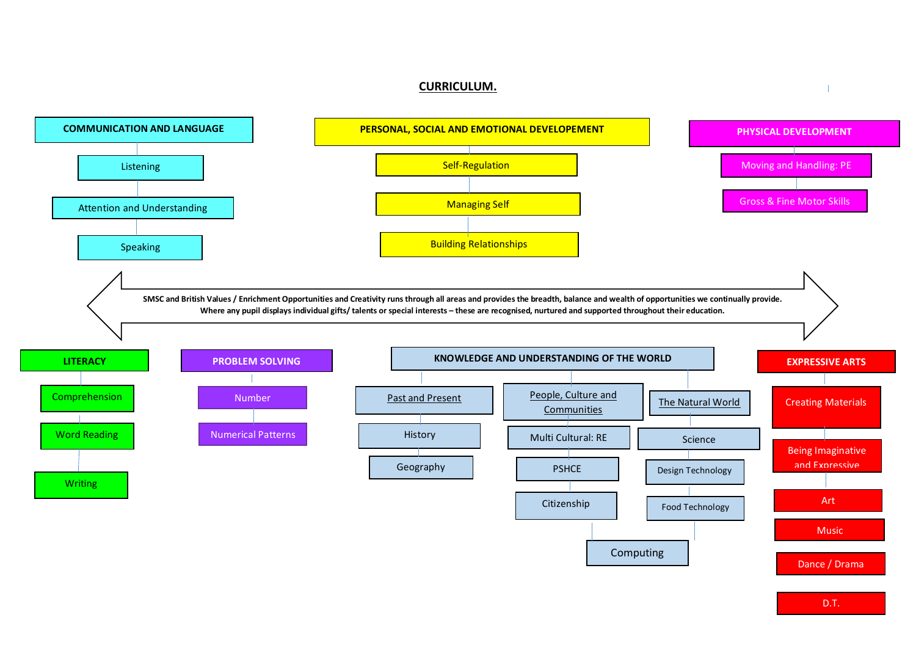## **CURRICULUM.**



 $\overline{\phantom{a}}$ 

D.T.